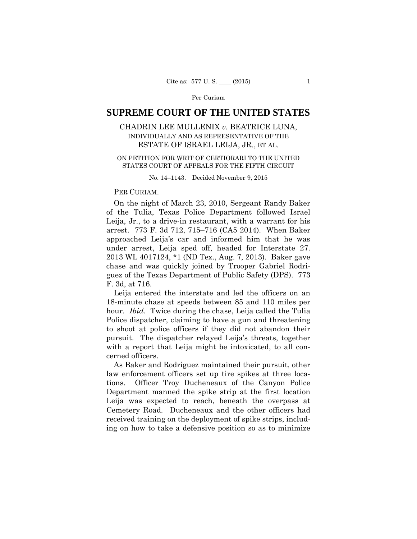# **SUPREME COURT OF THE UNITED STATES**

## CHADRIN LEE MULLENIX *v.* BEATRICE LUNA, INDIVIDUALLY AND AS REPRESENTATIVE OF THE ESTATE OF ISRAEL LEIJA, JR., ET AL.

## ON PETITION FOR WRIT OF CERTIORARI TO THE UNITED STATES COURT OF APPEALS FOR THE FIFTH CIRCUIT

No. 14–1143. Decided November 9, 2015

### PER CURIAM.

On the night of March 23, 2010, Sergeant Randy Baker of the Tulia, Texas Police Department followed Israel Leija, Jr., to a drive-in restaurant, with a warrant for his arrest. 773 F. 3d 712, 715–716 (CA5 2014). When Baker approached Leija's car and informed him that he was under arrest, Leija sped off, headed for Interstate 27. 2013 WL 4017124, \*1 (ND Tex., Aug. 7, 2013). Baker gave chase and was quickly joined by Trooper Gabriel Rodriguez of the Texas Department of Public Safety (DPS). 773 F. 3d, at 716.

Leija entered the interstate and led the officers on an 18-minute chase at speeds between 85 and 110 miles per hour. *Ibid*. Twice during the chase, Leija called the Tulia Police dispatcher, claiming to have a gun and threatening to shoot at police officers if they did not abandon their pursuit. The dispatcher relayed Leija's threats, together with a report that Leija might be intoxicated, to all concerned officers.

As Baker and Rodriguez maintained their pursuit, other law enforcement officers set up tire spikes at three locations. Officer Troy Ducheneaux of the Canyon Police Department manned the spike strip at the first location Leija was expected to reach, beneath the overpass at Cemetery Road. Ducheneaux and the other officers had received training on the deployment of spike strips, including on how to take a defensive position so as to minimize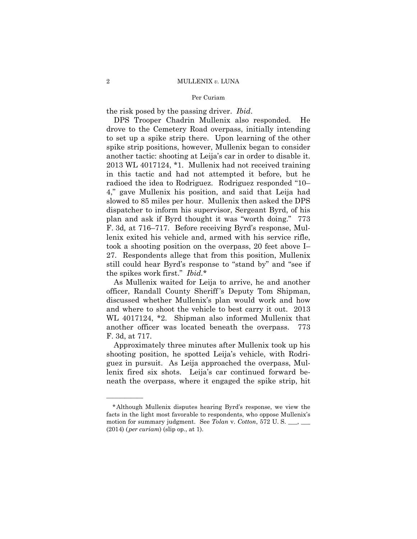the risk posed by the passing driver. *Ibid*.

 plan and ask if Byrd thought it was "worth doing." 773 DPS Trooper Chadrin Mullenix also responded. He drove to the Cemetery Road overpass, initially intending to set up a spike strip there. Upon learning of the other spike strip positions, however, Mullenix began to consider another tactic: shooting at Leija's car in order to disable it. 2013 WL 4017124, \*1. Mullenix had not received training in this tactic and had not attempted it before, but he radioed the idea to Rodriguez. Rodriguez responded "10– 4," gave Mullenix his position, and said that Leija had slowed to 85 miles per hour. Mullenix then asked the DPS dispatcher to inform his supervisor, Sergeant Byrd, of his F. 3d*,* at 716–717. Before receiving Byrd's response, Mullenix exited his vehicle and, armed with his service rifle, took a shooting position on the overpass, 20 feet above I– 27. Respondents allege that from this position, Mullenix still could hear Byrd's response to "stand by" and "see if the spikes work first." *Ibid.*\*

As Mullenix waited for Leija to arrive, he and another officer, Randall County Sheriff 's Deputy Tom Shipman, discussed whether Mullenix's plan would work and how and where to shoot the vehicle to best carry it out. 2013 WL 4017124, \*2. Shipman also informed Mullenix that another officer was located beneath the overpass. 773 F. 3d, at 717.

Approximately three minutes after Mullenix took up his shooting position, he spotted Leija's vehicle, with Rodriguez in pursuit. As Leija approached the overpass, Mullenix fired six shots. Leija's car continued forward beneath the overpass, where it engaged the spike strip, hit

——————

<sup>\*</sup>Although Mullenix disputes hearing Byrd's response, we view the facts in the light most favorable to respondents, who oppose Mullenix's motion for summary judgment. See *Tolan* v. *Cotton*, 572 U. S. \_\_\_, \_\_\_ (2014) ( *per curiam*) (slip op., at 1).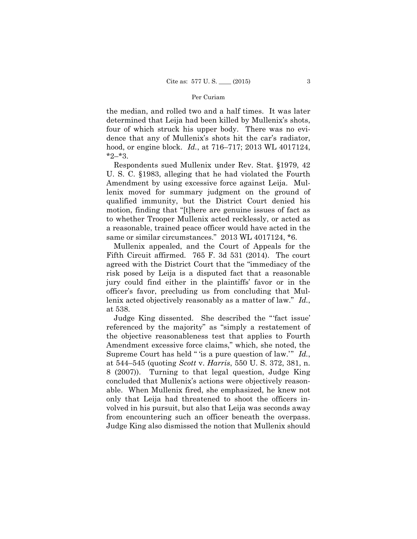hood, or engine block. *Id.*, at 716–717; 2013 WL 4017124, the median, and rolled two and a half times. It was later determined that Leija had been killed by Mullenix's shots, four of which struck his upper body. There was no evidence that any of Mullenix's shots hit the car's radiator,  $*2-*3$ .

Respondents sued Mullenix under Rev. Stat. §1979, 42 U. S. C. §1983, alleging that he had violated the Fourth Amendment by using excessive force against Leija. Mullenix moved for summary judgment on the ground of qualified immunity, but the District Court denied his motion, finding that "[t]here are genuine issues of fact as to whether Trooper Mullenix acted recklessly, or acted as a reasonable, trained peace officer would have acted in the same or similar circumstances." 2013 WL 4017124,  $*6$ .

Mullenix appealed, and the Court of Appeals for the Fifth Circuit affirmed. 765 F. 3d 531 (2014). The court agreed with the District Court that the "immediacy of the risk posed by Leija is a disputed fact that a reasonable jury could find either in the plaintiffs' favor or in the officer's favor, precluding us from concluding that Mullenix acted objectively reasonably as a matter of law." *Id.*, at 538.

Judge King dissented. She described the "'fact issue' referenced by the majority" as "simply a restatement of the objective reasonableness test that applies to Fourth Amendment excessive force claims," which, she noted, the Supreme Court has held " 'is a pure question of law.'" *Id.*, at 544–545 (quoting *Scott* v. *Harris*, 550 U. S. 372, 381, n. 8 (2007)). Turning to that legal question, Judge King concluded that Mullenix's actions were objectively reasonable. When Mullenix fired, she emphasized, he knew not only that Leija had threatened to shoot the officers involved in his pursuit, but also that Leija was seconds away from encountering such an officer beneath the overpass. Judge King also dismissed the notion that Mullenix should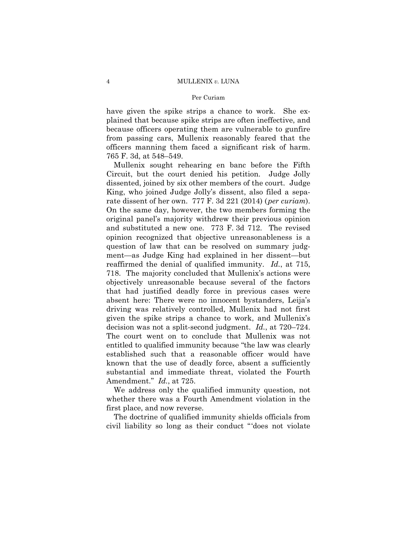### 4 MULLENIX *v.* LUNA

### Per Curiam

have given the spike strips a chance to work. She explained that because spike strips are often ineffective, and because officers operating them are vulnerable to gunfire from passing cars, Mullenix reasonably feared that the officers manning them faced a significant risk of harm. 765 F. 3d, at 548–549.

Mullenix sought rehearing en banc before the Fifth Circuit, but the court denied his petition. Judge Jolly dissented, joined by six other members of the court. Judge King, who joined Judge Jolly's dissent, also filed a separate dissent of her own. 777 F. 3d 221 (2014) (*per curiam*). On the same day, however, the two members forming the original panel's majority withdrew their previous opinion and substituted a new one. 773 F. 3d 712. The revised opinion recognized that objective unreasonableness is a question of law that can be resolved on summary judgment—as Judge King had explained in her dissent—but reaffirmed the denial of qualified immunity. *Id.*, at 715, 718. The majority concluded that Mullenix's actions were objectively unreasonable because several of the factors that had justified deadly force in previous cases were absent here: There were no innocent bystanders, Leija's driving was relatively controlled, Mullenix had not first given the spike strips a chance to work, and Mullenix's decision was not a split-second judgment. *Id.*, at 720–724. The court went on to conclude that Mullenix was not entitled to qualified immunity because "the law was clearly established such that a reasonable officer would have known that the use of deadly force, absent a sufficiently substantial and immediate threat, violated the Fourth Amendment." *Id.*, at 725.

We address only the qualified immunity question, not whether there was a Fourth Amendment violation in the first place, and now reverse.

The doctrine of qualified immunity shields officials from civil liability so long as their conduct "'does not violate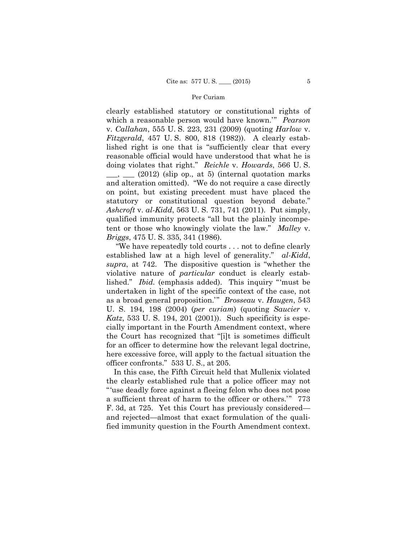clearly established statutory or constitutional rights of which a reasonable person would have known.'" *Pearson*  v. *Callahan*, 555 U. S. 223, 231 (2009) (quoting *Harlow* v. *Fitzgerald*, 457 U. S. 800, 818 (1982)). A clearly established right is one that is "sufficiently clear that every reasonable official would have understood that what he is doing violates that right." *Reichle* v. *Howards*, 566 U. S.  $\frac{1}{\sqrt{2}}$  (2012) (slip op., at 5) (internal quotation marks and alteration omitted). "We do not require a case directly on point, but existing precedent must have placed the statutory or constitutional question beyond debate." *Ashcroft* v. *al-Kidd*, 563 U. S. 731, 741 (2011). Put simply, qualified immunity protects "all but the plainly incompetent or those who knowingly violate the law." *Malley* v. *Briggs*, 475 U. S. 335, 341 (1986).

"We have repeatedly told courts . . . not to define clearly established law at a high level of generality." *al-Kidd*, *supra*, at 742. The dispositive question is "whether the violative nature of *particular* conduct is clearly established." *Ibid.* (emphasis added). This inquiry "'must be undertaken in light of the specific context of the case, not as a broad general proposition.'" *Brosseau* v. *Haugen*, 543 U. S. 194, 198 (2004) (*per curiam*) (quoting *Saucier* v. *Katz*, 533 U. S. 194, 201 (2001)). Such specificity is especially important in the Fourth Amendment context, where the Court has recognized that "[i]t is sometimes difficult for an officer to determine how the relevant legal doctrine, here excessive force, will apply to the factual situation the officer confronts." 533 U. S., at 205.

In this case, the Fifth Circuit held that Mullenix violated the clearly established rule that a police officer may not "'use deadly force against a fleeing felon who does not pose a sufficient threat of harm to the officer or others.'" 773 F. 3d, at 725. Yet this Court has previously considered and rejected—almost that exact formulation of the qualified immunity question in the Fourth Amendment context.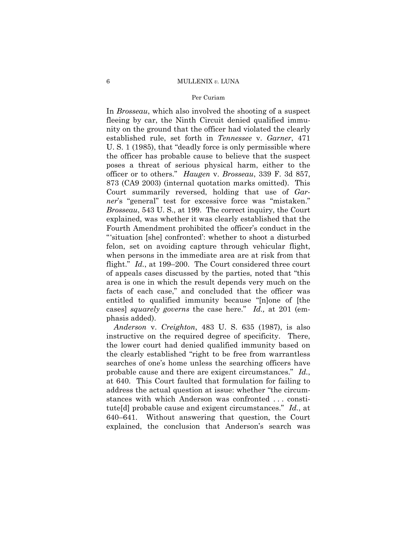## 6 MULLENIX *v.* LUNA

### Per Curiam

In *Brosseau*, which also involved the shooting of a suspect fleeing by car, the Ninth Circuit denied qualified immunity on the ground that the officer had violated the clearly established rule, set forth in *Tennessee* v. *Garner*, 471 U. S. 1 (1985), that "deadly force is only permissible where the officer has probable cause to believe that the suspect poses a threat of serious physical harm, either to the officer or to others." *Haugen* v. *Brosseau*, 339 F. 3d 857, 873 (CA9 2003) (internal quotation marks omitted). This Court summarily reversed, holding that use of *Garner*'s "general" test for excessive force was "mistaken." *Brosseau*, 543 U. S., at 199. The correct inquiry, the Court explained, was whether it was clearly established that the Fourth Amendment prohibited the officer's conduct in the "'situation [she] confronted': whether to shoot a disturbed felon, set on avoiding capture through vehicular flight, when persons in the immediate area are at risk from that flight." *Id.*, at 199–200. The Court considered three court of appeals cases discussed by the parties, noted that "this area is one in which the result depends very much on the facts of each case," and concluded that the officer was entitled to qualified immunity because "[n]one of [the cases] *squarely governs* the case here." *Id.,* at 201 (emphasis added).

*Anderson* v. *Creighton*, 483 U. S. 635 (1987), is also instructive on the required degree of specificity. There, the lower court had denied qualified immunity based on the clearly established "right to be free from warrantless searches of one's home unless the searching officers have probable cause and there are exigent circumstances." *Id.*, at 640. This Court faulted that formulation for failing to address the actual question at issue: whether "the circumstances with which Anderson was confronted . . . constitute[d] probable cause and exigent circumstances." *Id.*, at 640–641. Without answering that question, the Court explained, the conclusion that Anderson's search was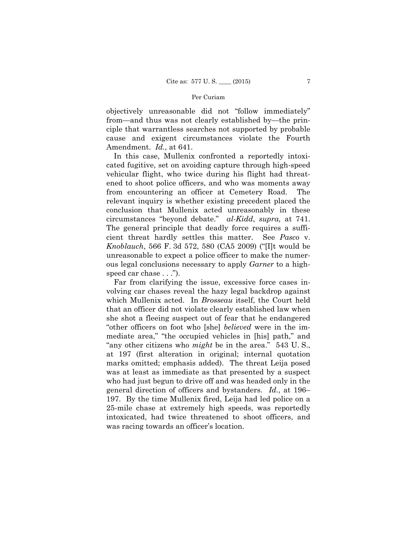objectively unreasonable did not "follow immediately" from—and thus was not clearly established by—the principle that warrantless searches not supported by probable cause and exigent circumstances violate the Fourth Amendment. *Id.*, at 641.

In this case, Mullenix confronted a reportedly intoxicated fugitive, set on avoiding capture through high-speed vehicular flight, who twice during his flight had threatened to shoot police officers, and who was moments away from encountering an officer at Cemetery Road. The relevant inquiry is whether existing precedent placed the conclusion that Mullenix acted unreasonably in these circumstances "beyond debate." *al-Kidd*, *supra,* at 741. The general principle that deadly force requires a sufficient threat hardly settles this matter. See *Pasco* v. *Knoblauch*, 566 F. 3d 572, 580 (CA5 2009) ("[I]t would be unreasonable to expect a police officer to make the numerous legal conclusions necessary to apply *Garner* to a highspeed car chase . . .").

Far from clarifying the issue, excessive force cases involving car chases reveal the hazy legal backdrop against which Mullenix acted. In *Brosseau* itself, the Court held that an officer did not violate clearly established law when she shot a fleeing suspect out of fear that he endangered "other officers on foot who [she] *believed* were in the immediate area," "the occupied vehicles in [his] path," and "any other citizens who *might* be in the area." 543 U. S., at 197 (first alteration in original; internal quotation marks omitted; emphasis added). The threat Leija posed was at least as immediate as that presented by a suspect who had just begun to drive off and was headed only in the general direction of officers and bystanders. *Id.*, at 196– 197. By the time Mullenix fired, Leija had led police on a 25-mile chase at extremely high speeds, was reportedly intoxicated, had twice threatened to shoot officers, and was racing towards an officer's location.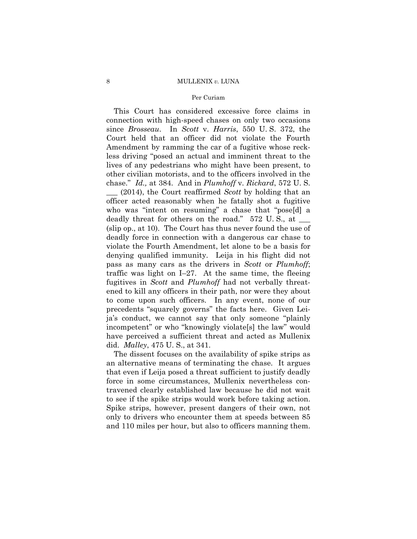### 8 MULLENIX *v.* LUNA

### Per Curiam

This Court has considered excessive force claims in connection with high-speed chases on only two occasions since *Brosseau*. In *Scott* v. *Harris*, 550 U. S. 372, the Court held that an officer did not violate the Fourth Amendment by ramming the car of a fugitive whose reckless driving "posed an actual and imminent threat to the lives of any pedestrians who might have been present, to other civilian motorists, and to the officers involved in the chase." *Id.,* at 384. And in *Plumhoff* v. *Rickard*, 572 U. S. \_\_\_ (2014), the Court reaffirmed *Scott* by holding that an officer acted reasonably when he fatally shot a fugitive who was "intent on resuming" a chase that "pose[d] a deadly threat for others on the road." 572 U.S., at  $\_\_$ (slip op., at 10). The Court has thus never found the use of deadly force in connection with a dangerous car chase to violate the Fourth Amendment, let alone to be a basis for denying qualified immunity. Leija in his flight did not pass as many cars as the drivers in *Scott* or *Plumhoff*; traffic was light on I–27. At the same time, the fleeing fugitives in *Scott* and *Plumhoff* had not verbally threatened to kill any officers in their path, nor were they about to come upon such officers. In any event, none of our precedents "squarely governs" the facts here. Given Leija's conduct, we cannot say that only someone "plainly incompetent" or who "knowingly violate[s] the law" would have perceived a sufficient threat and acted as Mullenix did. *Malley*, 475 U. S., at 341.

The dissent focuses on the availability of spike strips as an alternative means of terminating the chase. It argues that even if Leija posed a threat sufficient to justify deadly force in some circumstances, Mullenix nevertheless contravened clearly established law because he did not wait to see if the spike strips would work before taking action. Spike strips, however, present dangers of their own, not only to drivers who encounter them at speeds between 85 and 110 miles per hour, but also to officers manning them.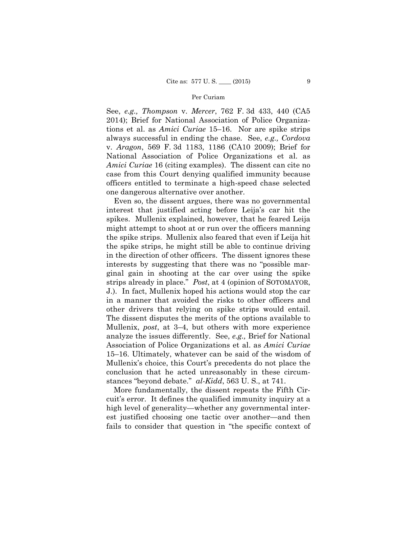See, *e.g., Thompson* v. *Mercer*, 762 F. 3d 433, 440 (CA5 2014); Brief for National Association of Police Organizations et al. as *Amici Curiae* 15–16. Nor are spike strips always successful in ending the chase. See, *e.g., Cordova*  v. *Aragon*, 569 F. 3d 1183, 1186 (CA10 2009); Brief for National Association of Police Organizations et al. as *Amici Curiae* 16 (citing examples). The dissent can cite no case from this Court denying qualified immunity because officers entitled to terminate a high-speed chase selected one dangerous alternative over another.

Even so, the dissent argues, there was no governmental interest that justified acting before Leija's car hit the spikes. Mullenix explained, however, that he feared Leija might attempt to shoot at or run over the officers manning the spike strips. Mullenix also feared that even if Leija hit the spike strips, he might still be able to continue driving in the direction of other officers. The dissent ignores these interests by suggesting that there was no "possible marginal gain in shooting at the car over using the spike strips already in place." *Post*, at 4 (opinion of SOTOMAYOR, J.). In fact, Mullenix hoped his actions would stop the car in a manner that avoided the risks to other officers and other drivers that relying on spike strips would entail. The dissent disputes the merits of the options available to Mullenix, *post*, at 3–4, but others with more experience analyze the issues differently. See, *e.g.,* Brief for National Association of Police Organizations et al. as *Amici Curiae*  15–16. Ultimately, whatever can be said of the wisdom of Mullenix's choice, this Court's precedents do not place the conclusion that he acted unreasonably in these circumstances "beyond debate." *al-Kidd*, 563 U. S., at 741.

More fundamentally, the dissent repeats the Fifth Circuit's error. It defines the qualified immunity inquiry at a high level of generality—whether any governmental interest justified choosing one tactic over another—and then fails to consider that question in "the specific context of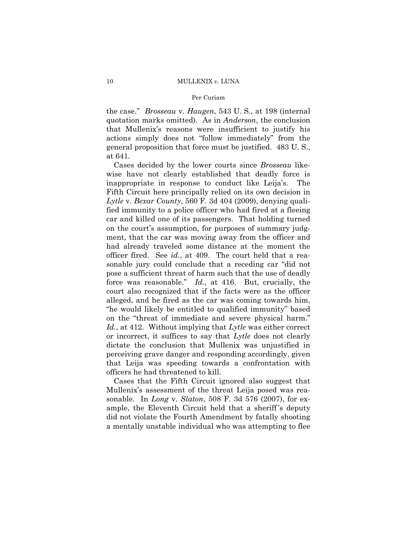the case." *Brosseau* v. *Haugen*, 543 U. S., at 198 (internal quotation marks omitted). As in *Anderson*, the conclusion that Mullenix's reasons were insufficient to justify his actions simply does not "follow immediately" from the general proposition that force must be justified. 483 U. S., at 641.

Cases decided by the lower courts since *Brosseau* likewise have not clearly established that deadly force is inappropriate in response to conduct like Leija's. The Fifth Circuit here principally relied on its own decision in *Lytle* v. *Bexar County*, 560 F. 3d 404 (2009), denying qualified immunity to a police officer who had fired at a fleeing car and killed one of its passengers. That holding turned on the court's assumption, for purposes of summary judgment, that the car was moving away from the officer and had already traveled some distance at the moment the officer fired. See *id.*, at 409. The court held that a reasonable jury could conclude that a receding car "did not pose a sufficient threat of harm such that the use of deadly force was reasonable." *Id.*, at 416. But, crucially, the court also recognized that if the facts were as the officer alleged, and he fired as the car was coming towards him, "he would likely be entitled to qualified immunity" based on the "threat of immediate and severe physical harm." *Id.*, at 412. Without implying that *Lytle* was either correct or incorrect, it suffices to say that *Lytle* does not clearly dictate the conclusion that Mullenix was unjustified in perceiving grave danger and responding accordingly, given that Leija was speeding towards a confrontation with officers he had threatened to kill.

Cases that the Fifth Circuit ignored also suggest that Mullenix's assessment of the threat Leija posed was reasonable. In *Long* v. *Slaton*, 508 F. 3d 576 (2007), for example, the Eleventh Circuit held that a sheriff 's deputy did not violate the Fourth Amendment by fatally shooting a mentally unstable individual who was attempting to flee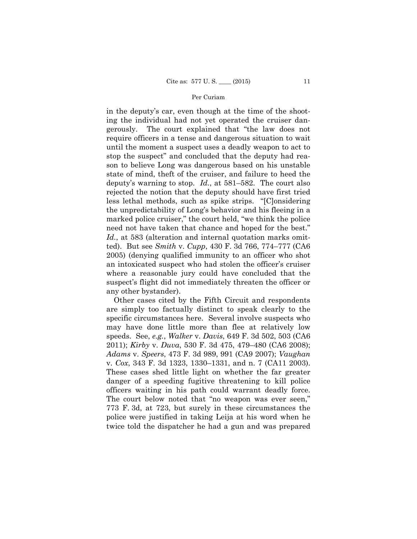in the deputy's car, even though at the time of the shooting the individual had not yet operated the cruiser dangerously. The court explained that "the law does not require officers in a tense and dangerous situation to wait until the moment a suspect uses a deadly weapon to act to stop the suspect" and concluded that the deputy had reason to believe Long was dangerous based on his unstable state of mind, theft of the cruiser, and failure to heed the deputy's warning to stop. *Id.*, at 581–582. The court also rejected the notion that the deputy should have first tried less lethal methods, such as spike strips. "[C]onsidering the unpredictability of Long's behavior and his fleeing in a marked police cruiser," the court held, "we think the police need not have taken that chance and hoped for the best." *Id.*, at 583 (alteration and internal quotation marks omitted). But see *Smith* v. *Cupp*, 430 F. 3d 766, 774–777 (CA6 2005) (denying qualified immunity to an officer who shot an intoxicated suspect who had stolen the officer's cruiser where a reasonable jury could have concluded that the suspect's flight did not immediately threaten the officer or any other bystander).

 v. *Cox*, 343 F. 3d 1323, 1330–1331, and n. 7 (CA11 2003). Other cases cited by the Fifth Circuit and respondents are simply too factually distinct to speak clearly to the specific circumstances here. Several involve suspects who may have done little more than flee at relatively low speeds. See, *e.g.*, *Walker* v. *Davis*, 649 F. 3d 502, 503 (CA6 2011); *Kirby* v. *Duva*, 530 F. 3d 475, 479–480 (CA6 2008); *Adams* v. *Speers*, 473 F. 3d 989, 991 (CA9 2007); *Vaughan*  These cases shed little light on whether the far greater danger of a speeding fugitive threatening to kill police officers waiting in his path could warrant deadly force. The court below noted that "no weapon was ever seen," 773 F. 3d, at 723, but surely in these circumstances the police were justified in taking Leija at his word when he twice told the dispatcher he had a gun and was prepared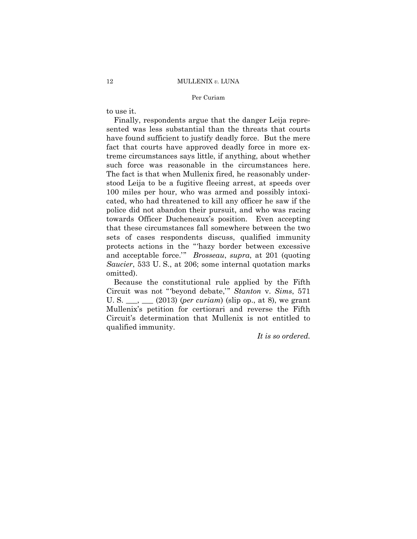to use it.

 such force was reasonable in the circumstances here. The fact is that when Mullenix fired, he reasonably under-Finally, respondents argue that the danger Leija represented was less substantial than the threats that courts have found sufficient to justify deadly force. But the mere fact that courts have approved deadly force in more extreme circumstances says little, if anything, about whether stood Leija to be a fugitive fleeing arrest, at speeds over 100 miles per hour, who was armed and possibly intoxicated, who had threatened to kill any officer he saw if the police did not abandon their pursuit, and who was racing towards Officer Ducheneaux's position. Even accepting that these circumstances fall somewhere between the two sets of cases respondents discuss, qualified immunity protects actions in the "'hazy border between excessive and acceptable force.'" *Brosseau*, *supra*, at 201 (quoting *Saucier*, 533 U. S., at 206; some internal quotation marks omitted).

Because the constitutional rule applied by the Fifth Circuit was not "'beyond debate,'" *Stanton* v. *Sims*, 571 U. S. \_\_\_, \_\_\_ (2013) (*per curiam*) (slip op., at 8), we grant Mullenix's petition for certiorari and reverse the Fifth Circuit's determination that Mullenix is not entitled to qualified immunity.

*It is so ordered.*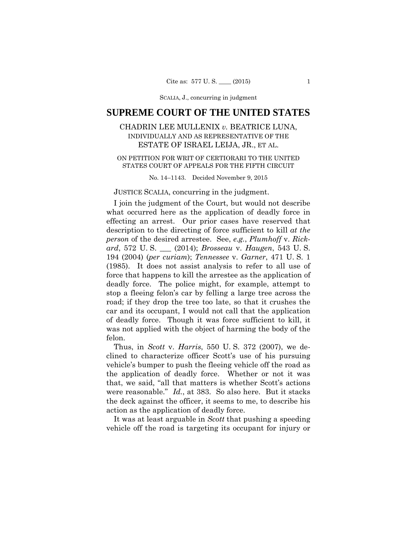SCALIA, J., concurring in judgment

# **SUPREME COURT OF THE UNITED STATES**

## CHADRIN LEE MULLENIX *v.* BEATRICE LUNA, INDIVIDUALLY AND AS REPRESENTATIVE OF THE ESTATE OF ISRAEL LEIJA, JR., ET AL.

### ON PETITION FOR WRIT OF CERTIORARI TO THE UNITED STATES COURT OF APPEALS FOR THE FIFTH CIRCUIT

No. 14–1143. Decided November 9, 2015

#### JUSTICE SCALIA, concurring in the judgment.

I join the judgment of the Court, but would not describe what occurred here as the application of deadly force in effecting an arrest. Our prior cases have reserved that description to the directing of force sufficient to kill *at the person* of the desired arrestee. See, *e.g.*, *Plumhoff* v. *Rickard*, 572 U. S. \_\_\_ (2014); *Brosseau* v. *Haugen*, 543 U. S. 194 (2004) (*per curiam*); *Tennessee* v. *Garner*, 471 U. S. 1 (1985). It does not assist analysis to refer to all use of force that happens to kill the arrestee as the application of deadly force. The police might, for example, attempt to stop a fleeing felon's car by felling a large tree across the road; if they drop the tree too late, so that it crushes the car and its occupant, I would not call that the application of deadly force. Though it was force sufficient to kill, it was not applied with the object of harming the body of the felon.

 Thus, in *Scott* v. *Harris*, 550 U. S. 372 (2007), we declined to characterize officer Scott's use of his pursuing vehicle's bumper to push the fleeing vehicle off the road as the application of deadly force. Whether or not it was that, we said, "all that matters is whether Scott's actions were reasonable." *Id.*, at 383. So also here. But it stacks the deck against the officer, it seems to me, to describe his action as the application of deadly force.

It was at least arguable in *Scott* that pushing a speeding vehicle off the road is targeting its occupant for injury or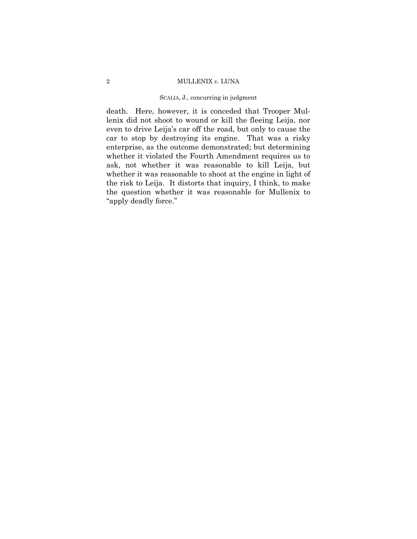## SCALIA, J., concurring in judgment

death. Here, however, it is conceded that Trooper Mullenix did not shoot to wound or kill the fleeing Leija, nor even to drive Leija's car off the road, but only to cause the car to stop by destroying its engine. That was a risky enterprise, as the outcome demonstrated; but determining whether it violated the Fourth Amendment requires us to ask, not whether it was reasonable to kill Leija, but whether it was reasonable to shoot at the engine in light of the risk to Leija. It distorts that inquiry, I think, to make the question whether it was reasonable for Mullenix to "apply deadly force."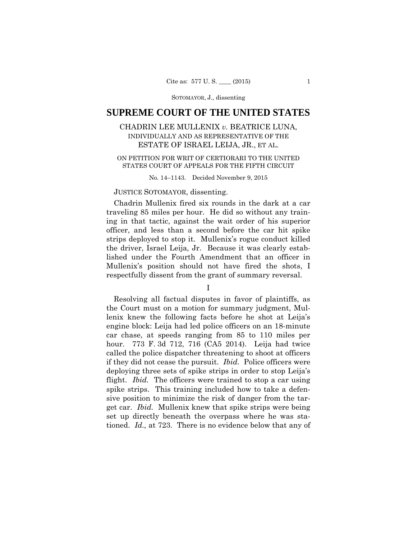# **SUPREME COURT OF THE UNITED STATES**

## CHADRIN LEE MULLENIX *v.* BEATRICE LUNA, INDIVIDUALLY AND AS REPRESENTATIVE OF THE ESTATE OF ISRAEL LEIJA, JR., ET AL.

### ON PETITION FOR WRIT OF CERTIORARI TO THE UNITED STATES COURT OF APPEALS FOR THE FIFTH CIRCUIT

#### No. 14–1143. Decided November 9, 2015

### JUSTICE SOTOMAYOR, dissenting.

Chadrin Mullenix fired six rounds in the dark at a car traveling 85 miles per hour. He did so without any training in that tactic, against the wait order of his superior officer, and less than a second before the car hit spike strips deployed to stop it. Mullenix's rogue conduct killed the driver, Israel Leija, Jr. Because it was clearly established under the Fourth Amendment that an officer in Mullenix's position should not have fired the shots, I respectfully dissent from the grant of summary reversal.

I

 tioned. *Id.,* at 723. There is no evidence below that any of Resolving all factual disputes in favor of plaintiffs, as the Court must on a motion for summary judgment, Mullenix knew the following facts before he shot at Leija's engine block: Leija had led police officers on an 18-minute car chase, at speeds ranging from 85 to 110 miles per hour. 773 F. 3d 712, 716 (CA5 2014). Leija had twice called the police dispatcher threatening to shoot at officers if they did not cease the pursuit. *Ibid.* Police officers were deploying three sets of spike strips in order to stop Leija's flight. *Ibid.* The officers were trained to stop a car using spike strips. This training included how to take a defensive position to minimize the risk of danger from the target car. *Ibid.* Mullenix knew that spike strips were being set up directly beneath the overpass where he was sta-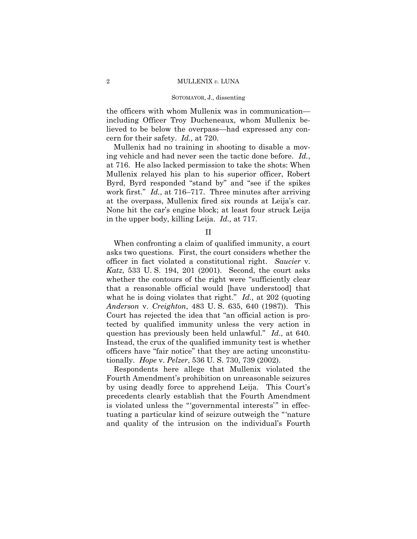the officers with whom Mullenix was in communication including Officer Troy Ducheneaux, whom Mullenix believed to be below the overpass—had expressed any concern for their safety. *Id.,* at 720.

 at 716. He also lacked permission to take the shots: When work first." *Id.*, at 716–717. Three minutes after arriving Mullenix had no training in shooting to disable a moving vehicle and had never seen the tactic done before. *Id.*, Mullenix relayed his plan to his superior officer, Robert Byrd, Byrd responded "stand by" and "see if the spikes at the overpass, Mullenix fired six rounds at Leija's car. None hit the car's engine block; at least four struck Leija in the upper body, killing Leija. *Id.,* at 717.

II

 *Anderson* v. *Creighton*, 483 U. S. 635, 640 (1987)). This When confronting a claim of qualified immunity, a court asks two questions. First, the court considers whether the officer in fact violated a constitutional right. *Saucier* v. *Katz*, 533 U. S. 194, 201 (2001). Second, the court asks whether the contours of the right were "sufficiently clear that a reasonable official would [have understood] that what he is doing violates that right." *Id.,* at 202 (quoting Court has rejected the idea that "an official action is protected by qualified immunity unless the very action in question has previously been held unlawful." *Id*., at 640*.* Instead, the crux of the qualified immunity test is whether officers have "fair notice" that they are acting unconstitutionally. *Hope* v. *Pelzer*, 536 U. S. 730, 739 (2002).

Respondents here allege that Mullenix violated the Fourth Amendment's prohibition on unreasonable seizures by using deadly force to apprehend Leija. This Court's precedents clearly establish that the Fourth Amendment is violated unless the "'governmental interests'" in effectuating a particular kind of seizure outweigh the "'nature and quality of the intrusion on the individual's Fourth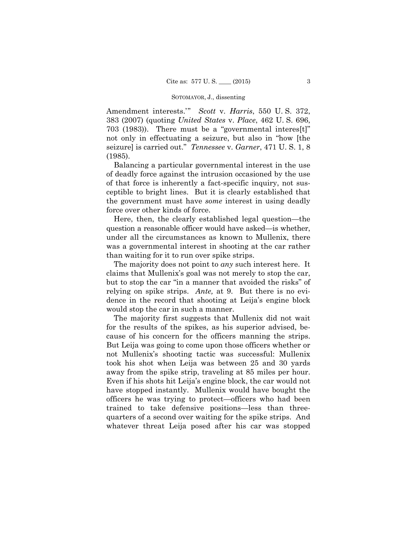Amendment interests.'" *Scott* v. *Harris*, 550 U. S. 372, 383 (2007) (quoting *United States* v. *Place*, 462 U. S. 696, 703 (1983)). There must be a "governmental interes[t]" not only in effectuating a seizure, but also in "how [the seizure] is carried out." *Tennessee* v. *Garner*, 471 U. S. 1, 8 (1985).

Balancing a particular governmental interest in the use of deadly force against the intrusion occasioned by the use of that force is inherently a fact-specific inquiry, not susceptible to bright lines. But it is clearly established that the government must have *some* interest in using deadly force over other kinds of force.

Here, then, the clearly established legal question—the question a reasonable officer would have asked—is whether, under all the circumstances as known to Mullenix, there was a governmental interest in shooting at the car rather than waiting for it to run over spike strips.

The majority does not point to *any* such interest here. It claims that Mullenix's goal was not merely to stop the car, but to stop the car "in a manner that avoided the risks" of relying on spike strips. *Ante,* at 9. But there is no evidence in the record that shooting at Leija's engine block would stop the car in such a manner.

 away from the spike strip, traveling at 85 miles per hour. The majority first suggests that Mullenix did not wait for the results of the spikes, as his superior advised, because of his concern for the officers manning the strips. But Leija was going to come upon those officers whether or not Mullenix's shooting tactic was successful: Mullenix took his shot when Leija was between 25 and 30 yards Even if his shots hit Leija's engine block, the car would not have stopped instantly. Mullenix would have bought the officers he was trying to protect—officers who had been trained to take defensive positions—less than threequarters of a second over waiting for the spike strips. And whatever threat Leija posed after his car was stopped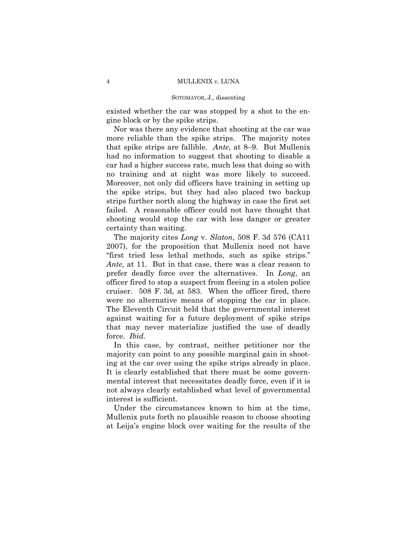existed whether the car was stopped by a shot to the engine block or by the spike strips.

Nor was there any evidence that shooting at the car was more reliable than the spike strips. The majority notes that spike strips are fallible. *Ante*, at 8–9. But Mullenix had no information to suggest that shooting to disable a car had a higher success rate, much less that doing so with no training and at night was more likely to succeed. Moreover, not only did officers have training in setting up the spike strips, but they had also placed two backup strips further north along the highway in case the first set failed. A reasonable officer could not have thought that shooting would stop the car with less danger or greater certainty than waiting.

The majority cites *Long* v. *Slaton*, 508 F. 3d 576 (CA11 2007), for the proposition that Mullenix need not have "first tried less lethal methods, such as spike strips." *Ante,* at 11. But in that case, there was a clear reason to prefer deadly force over the alternatives. In *Long*, an officer fired to stop a suspect from fleeing in a stolen police cruiser. 508 F. 3d, at 583. When the officer fired, there were no alternative means of stopping the car in place. The Eleventh Circuit held that the governmental interest against waiting for a future deployment of spike strips that may never materialize justified the use of deadly force. *Ibid.* 

In this case, by contrast, neither petitioner nor the majority can point to any possible marginal gain in shooting at the car over using the spike strips already in place. It is clearly established that there must be some governmental interest that necessitates deadly force, even if it is not always clearly established what level of governmental interest is sufficient.

Under the circumstances known to him at the time, Mullenix puts forth no plausible reason to choose shooting at Leija's engine block over waiting for the results of the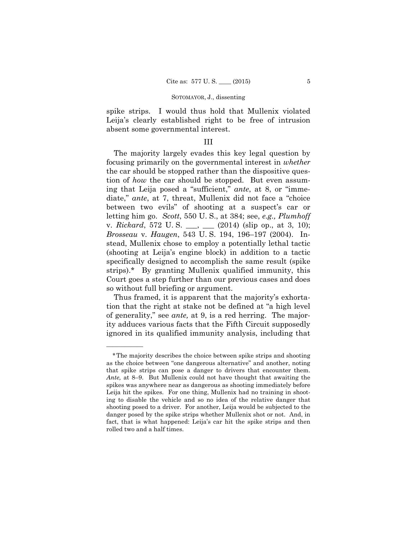spike strips. I would thus hold that Mullenix violated Leija's clearly established right to be free of intrusion absent some governmental interest.

## III

 focusing primarily on the governmental interest in *whether*  The majority largely evades this key legal question by the car should be stopped rather than the dispositive question of *how* the car should be stopped. But even assuming that Leija posed a "sufficient," *ante*, at 8, or "immediate," *ante*, at 7, threat, Mullenix did not face a "choice between two evils" of shooting at a suspect's car or letting him go. *Scott*, 550 U. S., at 384; see, *e.g., Plumhoff*  v. *Rickard*, 572 U.S. \_\_, \_\_ (2014) (slip op., at 3, 10); *Brosseau* v. *Haugen*, 543 U. S. 194, 196–197 (2004). Instead, Mullenix chose to employ a potentially lethal tactic (shooting at Leija's engine block) in addition to a tactic specifically designed to accomplish the same result (spike strips).\* By granting Mullenix qualified immunity, this Court goes a step further than our previous cases and does so without full briefing or argument.

Thus framed, it is apparent that the majority's exhortation that the right at stake not be defined at "a high level of generality," see *ante,* at 9, is a red herring. The majority adduces various facts that the Fifth Circuit supposedly ignored in its qualified immunity analysis, including that

——————

<sup>\*</sup>The majority describes the choice between spike strips and shooting as the choice between "one dangerous alternative" and another, noting that spike strips can pose a danger to drivers that encounter them. *Ante,* at 8–9. But Mullenix could not have thought that awaiting the spikes was anywhere near as dangerous as shooting immediately before Leija hit the spikes. For one thing, Mullenix had no training in shooting to disable the vehicle and so no idea of the relative danger that shooting posed to a driver. For another, Leija would be subjected to the danger posed by the spike strips whether Mullenix shot or not. And, in fact, that is what happened: Leija's car hit the spike strips and then rolled two and a half times.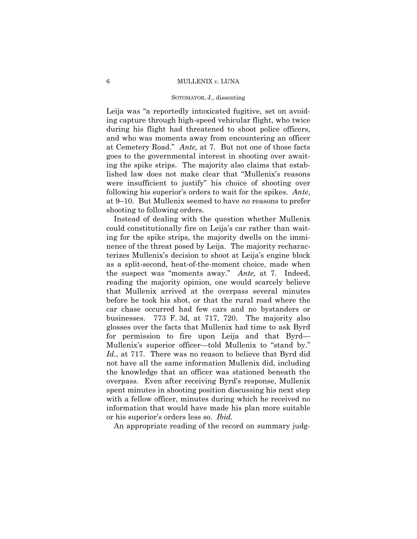### 6 MULLENIX *v.* LUNA

### SOTOMAYOR, J., dissenting

Leija was "a reportedly intoxicated fugitive, set on avoiding capture through high-speed vehicular flight, who twice during his flight had threatened to shoot police officers, and who was moments away from encountering an officer at Cemetery Road." *Ante,* at 7. But not one of those facts goes to the governmental interest in shooting over awaiting the spike strips. The majority also claims that established law does not make clear that "Mullenix's reasons were insufficient to justify" his choice of shooting over following his superior's orders to wait for the spikes. *Ante*, at 9–10*.* But Mullenix seemed to have *no* reasons to prefer shooting to following orders.

 or his superior's orders less so. *Ibid.*  Instead of dealing with the question whether Mullenix could constitutionally fire on Leija's car rather than waiting for the spike strips, the majority dwells on the imminence of the threat posed by Leija. The majority recharacterizes Mullenix's decision to shoot at Leija's engine block as a split-second, heat-of-the-moment choice, made when the suspect was "moments away." *Ante,* at 7. Indeed, reading the majority opinion, one would scarcely believe that Mullenix arrived at the overpass several minutes before he took his shot, or that the rural road where the car chase occurred had few cars and no bystanders or businesses. 773 F. 3d, at 717, 720. The majority also glosses over the facts that Mullenix had time to ask Byrd for permission to fire upon Leija and that Byrd— Mullenix's superior officer—told Mullenix to "stand by." *Id.*, at 717. There was no reason to believe that Byrd did not have all the same information Mullenix did, including the knowledge that an officer was stationed beneath the overpass. Even after receiving Byrd's response, Mullenix spent minutes in shooting position discussing his next step with a fellow officer, minutes during which he received no information that would have made his plan more suitable

An appropriate reading of the record on summary judg-